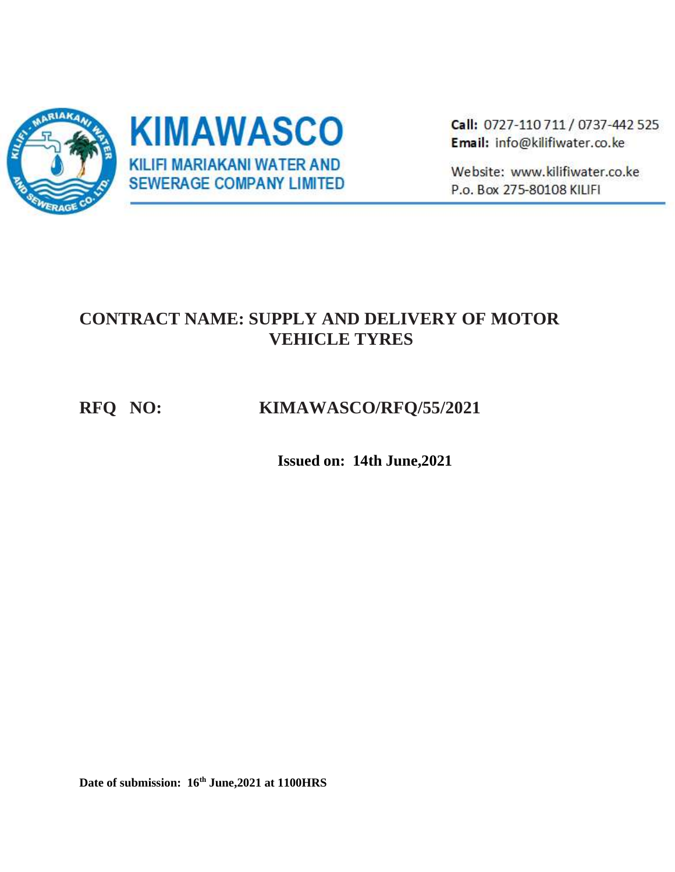

Call: 0727-110 711 / 0737-442 525 Email: info@kilifiwater.co.ke

Website: www.kilifiwater.co.ke P.o. Box 275-80108 KILIFI

# **CONTRACT NAME: SUPPLY AND DELIVERY OF MOTOR VEHICLE TYRES**

# **RFQ NO: KIMAWASCO/RFQ/55/2021**

 **Issued on: 14th June,2021**

**Date of submission: 16th June,2021 at 1100HRS**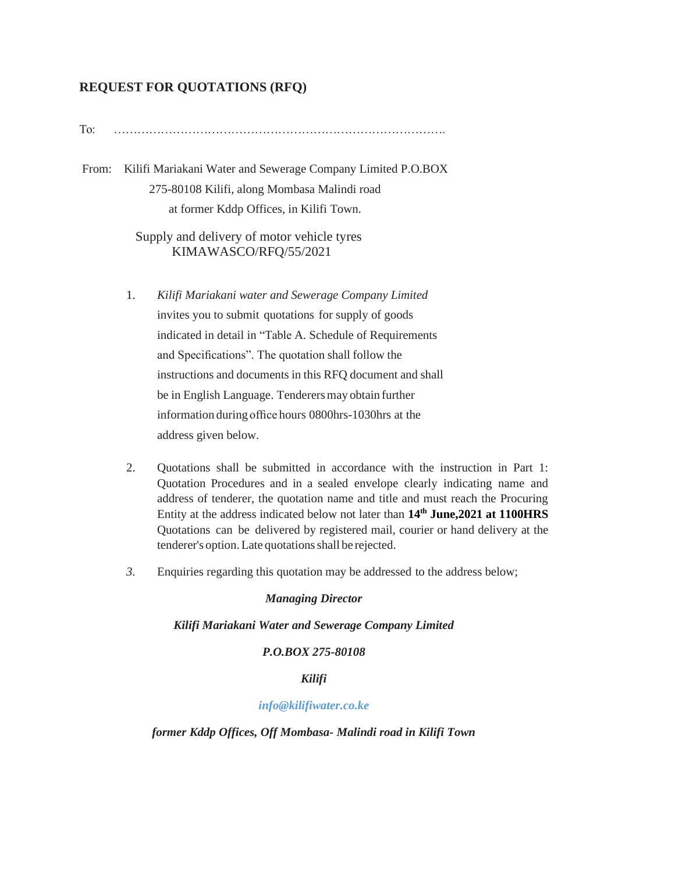## **REQUEST FOR QUOTATIONS (RFQ)**

To: ………………………………………………………………………….

From: Kilifi Mariakani Water and Sewerage Company Limited P.O.BOX 275-80108 Kilifi, along Mombasa Malindi road at former Kddp Offices, in Kilifi Town.

> Supply and delivery of motor vehicle tyres KIMAWASCO/RFQ/55/2021

- 1. *Kilifi Mariakani water and Sewerage Company Limited*  invites you to submit quotations for supply of goods indicated in detail in "Table A. Schedule of Requirements and Specifications". The quotation shall follow the instructions and documents in this RFQ document and shall be in English Language. Tenderersmay obtain further information during office hours 0800hrs-1030hrs at the address given below.
- 2. Quotations shall be submitted in accordance with the instruction in Part 1: Quotation Procedures and in a sealed envelope clearly indicating name and address of tenderer, the quotation name and title and must reach the Procuring Entity at the address indicated below not later than **14th June,2021 at 1100HRS** Quotations can be delivered by registered mail, courier or hand delivery at the tenderer's option. Late quotations shall be rejected.
- *3.* Enquiries regarding this quotation may be addressed to the address below;

#### *Managing Director*

#### *Kilifi Mariakani Water and Sewerage Company Limited*

### *P.O.BOX 275-80108*

### *Kilifi*

### *info@kilifiwater.co.ke*

#### *former Kddp Offices, Off Mombasa- Malindi road in Kilifi Town*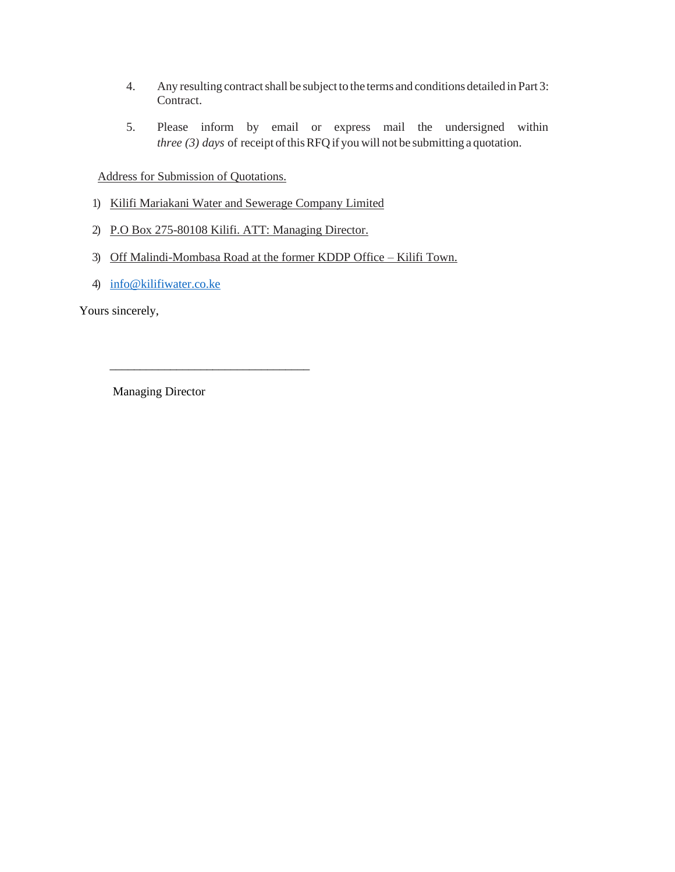- 4. Any resulting contract shall be subject to the terms and conditions detailed in Part 3: Contract.
- 5. Please inform by email or express mail the undersigned within *three (3) days of receipt of this RFQ if you will not be submitting a quotation.*

Address for Submission of Quotations.

\_\_\_\_\_\_\_\_\_\_\_\_\_\_\_\_\_\_\_\_\_\_\_\_\_\_\_\_\_\_\_\_\_

- 1) Kilifi Mariakani Water and Sewerage Company Limited
- 2) P.O Box 275-80108 Kilifi. ATT: Managing Director.
- 3) Off Malindi-Mombasa Road at the former KDDP Office Kilifi Town.
- 4) [info@kilifiwater.co.ke](mailto:info@kilifiwater.co.ke)

Yours sincerely,

Managing Director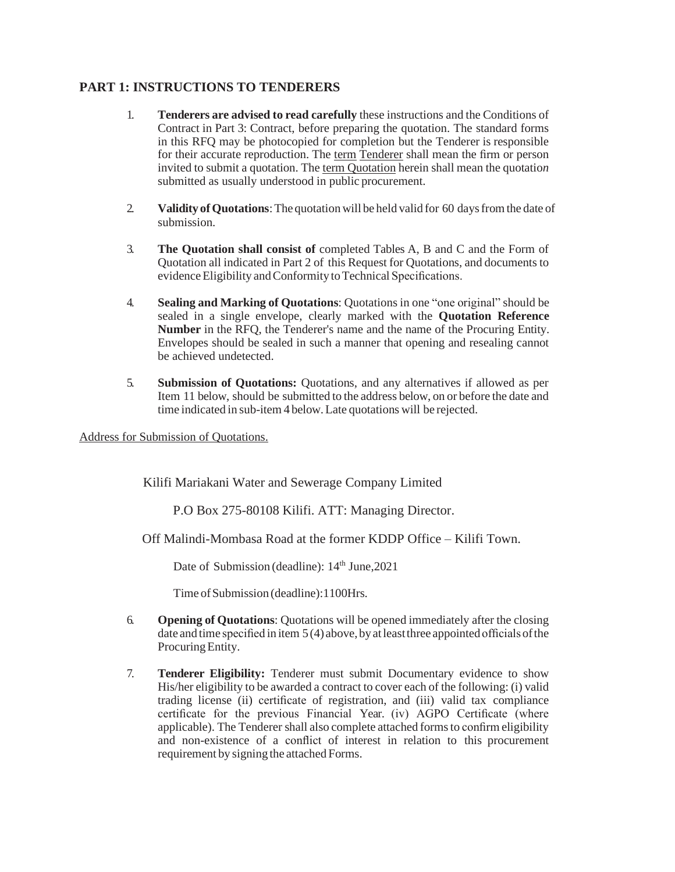## **PART 1: INSTRUCTIONS TO TENDERERS**

- 1. **Tenderers are advised to read carefully** these instructions and the Conditions of Contract in Part 3: Contract, before preparing the quotation. The standard forms in this RFQ may be photocopied for completion but the Tenderer is responsible for their accurate reproduction. The term Tenderer shall mean the firm or person invited to submit a quotation. The term Quotation herein shall mean the quotatio*n*  submitted as usually understood in public procurement.
- 2. **Validity of Quotations**: The quotation will be held valid for 60 days from the date of submission.
- 3. **The Quotation shall consist of** completed Tables A, B and C and the Form of Quotation all indicated in Part 2 of this Request for Quotations, and documents to evidence Eligibility and Conformity to Technical Specifications.
- 4. **Sealing and Marking of Quotations**: Quotations in one "one original" should be sealed in a single envelope, clearly marked with the **Quotation Reference Number** in the RFQ, the Tenderer's name and the name of the Procuring Entity. Envelopes should be sealed in such a manner that opening and resealing cannot be achieved undetected.
- 5. **Submission of Quotations:** Quotations, and any alternatives if allowed as per Item 11 below, should be submitted to the address below, on or before the date and time indicated in sub-item 4 below.Late quotations will be rejected.

Address for Submission of Quotations.

Kilifi Mariakani Water and Sewerage Company Limited

P.O Box 275-80108 Kilifi. ATT: Managing Director.

Off Malindi-Mombasa Road at the former KDDP Office – Kilifi Town.

Date of Submission (deadline):  $14<sup>th</sup>$  June, 2021

Time ofSubmission (deadline):1100Hrs*.*

- 6. **Opening of Quotations**: Quotations will be opened immediately after the closing date and time specified in item  $5(4)$  above, by at least three appointed officials of the Procuring Entity.
- 7. **Tenderer Eligibility:** Tenderer must submit Documentary evidence to show His/her eligibility to be awarded a contract to cover each of the following: (i) valid trading license (ii) certificate of registration, and (iii) valid tax compliance certificate for the previous Financial Year. (iv) AGPO Certificate (where applicable). The Tenderer shall also complete attached formsto confirm eligibility and non-existence of a conflict of interest in relation to this procurement requirement by signing the attached Forms.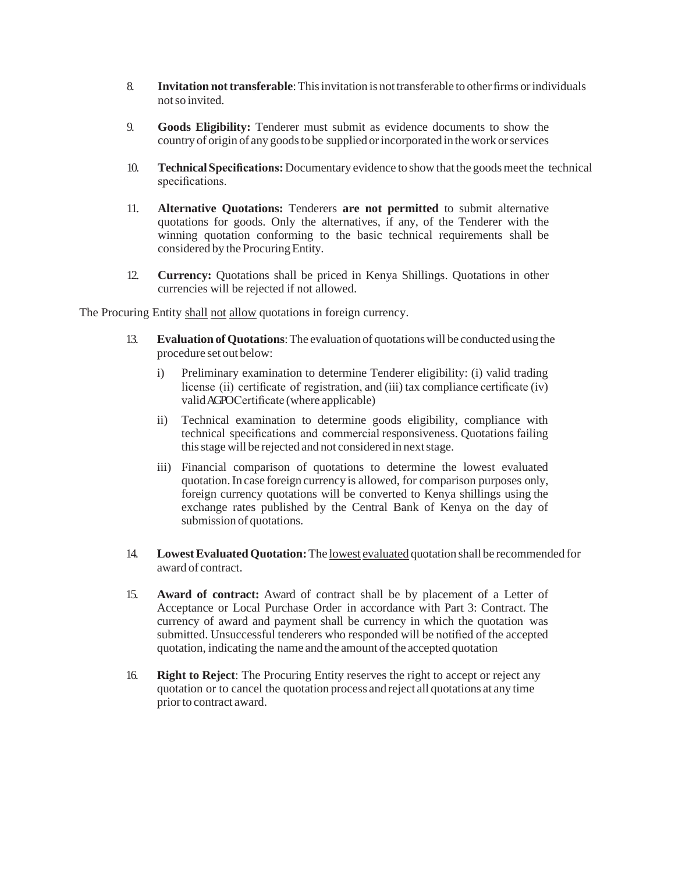- 8. **Invitation not transferable**: This invitation is not transferable to other firms or individuals notso invited.
- 9. **Goods Eligibility:** Tenderer must submit as evidence documents to show the country of origin of any goodsto be supplied orincorporated in thework orservices
- 10. **TechnicalSpecifications:** Documentary evidence to show that the goodsmeet the technical specifications.
- 11. **Alternative Quotations:** Tenderers **are not permitted** to submit alternative quotations for goods. Only the alternatives, if any, of the Tenderer with the winning quotation conforming to the basic technical requirements shall be considered by the Procuring Entity.
- 12. **Currency:** Quotations shall be priced in Kenya Shillings. Quotations in other currencies will be rejected if not allowed.

The Procuring Entity shall not allow quotations in foreign currency.

- 13. **Evaluation ofQuotations**:The evaluation of quotationswill be conducted using the procedure set out below:
	- i) Preliminary examination to determine Tenderer eligibility: (i) valid trading license (ii) certificate of registration, and (iii) tax compliance certificate (iv) validAGPOCertificate (where applicable)
	- ii) Technical examination to determine goods eligibility, compliance with technical specifications and commercial responsiveness. Quotations failing this stage will be rejected and not considered in next stage.
	- iii) Financial comparison of quotations to determine the lowest evaluated quotation.In case foreign currency is allowed, for comparison purposes only, foreign currency quotations will be converted to Kenya shillings using the exchange rates published by the Central Bank of Kenya on the day of submission of quotations.
- 14. **LowestEvaluatedQuotation:**The lowest evaluated quotation shall be recommended for award of contract.
- 15. **Award of contract:** Award of contract shall be by placement of a Letter of Acceptance or Local Purchase Order in accordance with Part 3: Contract. The currency of award and payment shall be currency in which the quotation was submitted. Unsuccessful tenderers who responded will be notified of the accepted quotation, indicating the name and the amount of the accepted quotation
- 16. **Right to Reject**: The Procuring Entity reserves the right to accept or reject any quotation or to cancel the quotation process and reject all quotations at any time prior to contract award.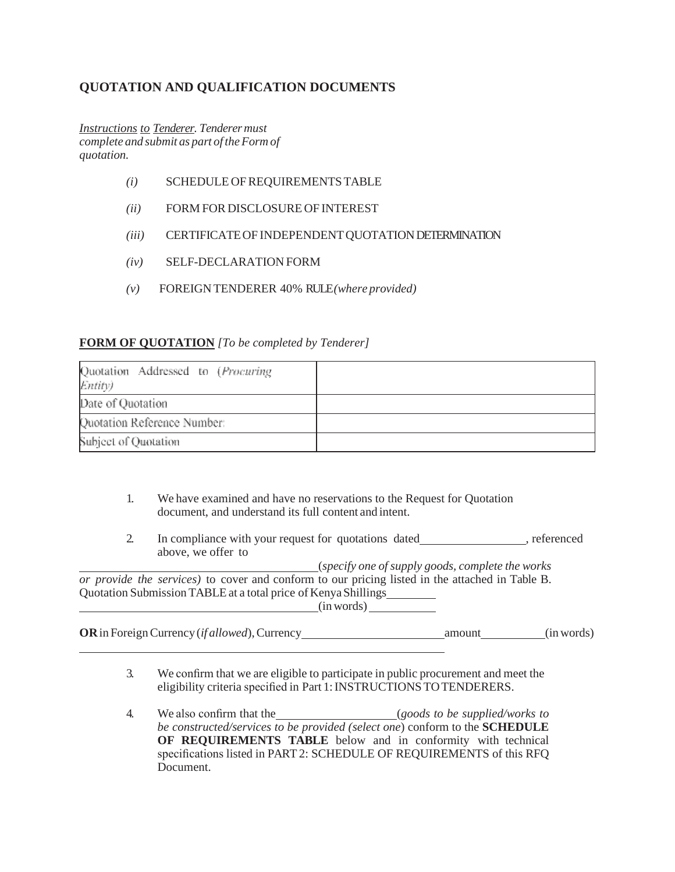# **QUOTATION AND QUALIFICATION DOCUMENTS**

*Instructions to Tenderer. Tenderermust complete and submit as part of theForm of quotation.*

- *(i)* SCHEDULE OFREQUIREMENTSTABLE
- *(ii)* FORM FOR DISCLOSURE OF INTEREST
- *(iii)* CERTIFICATE OF INDEPENDENT QUOTATION DETERMINATION
- *(iv)* SELF-DECLARATION FORM
- *(v)* FOREIGN TENDERER 40% RULE*(where provided)*

### **FORM OF QUOTATION** *[To be completed by Tenderer]*

| Quotation Addressed to (Procuring<br>Entity) |  |
|----------------------------------------------|--|
| Date of Quotation                            |  |
| Quotation Reference Number:                  |  |
| Subject of Quotation                         |  |

- 1. We have examined and have no reservations to the Request for Quotation document, and understand its full content and intent.
- 2. In compliance with your request for quotations dated \_\_\_\_\_\_\_\_\_\_\_\_\_\_\_\_\_\_, referenced above, we offer to

(*specify one of supply goods, complete the works or provide the services)* to cover and conform to our pricing listed in the attached in Table B. Quotation Submission TABLE at a total price of Kenya Shillings (inwords)

**OR**in ForeignCurrency (*if allowed*),Currency amount (inwords)

- 3. We confirm that we are eligible to participate in public procurement and meet the eligibility criteria specified in Part 1: INSTRUCTIONS TO TENDERERS.
- 4. We also confirm that the (*goods to be supplied/works to be constructed/services to be provided (select one*) conform to the **SCHEDULE OF REQUIREMENTS TABLE** below and in conformity with technical specifications listed in PART 2: SCHEDULE OF REQUIREMENTS of this RFQ Document.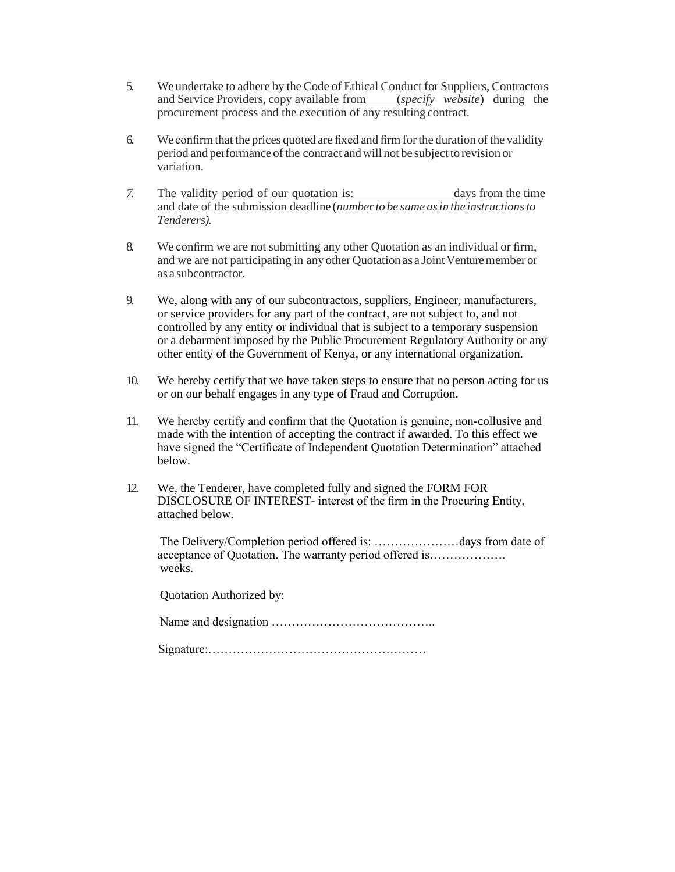- 5. We undertake to adhere by the Code of Ethical Conduct for Suppliers, Contractors and Service Providers, copy available from *(specify website*) during the procurement process and the execution of any resulting contract.
- 6. We confirm that the prices quoted are fixed and firm forthe duration of the validity period and performance of the contract and will not be subject to revision or variation.
- 7. The validity period of our quotation is: days from the time and date of the submission deadline (*numberto be same asin the instructionsto Tenderers).*
- 8. We confirm we are not submitting any other Quotation as an individual or firm, and we are not participating in any other Quotation as a Joint Venture member or as a subcontractor.
- 9. We, along with any of our subcontractors, suppliers, Engineer, manufacturers, or service providers for any part of the contract, are not subject to, and not controlled by any entity or individual that is subject to a temporary suspension or a debarment imposed by the Public Procurement Regulatory Authority or any other entity of the Government of Kenya, or any international organization.
- 10. We hereby certify that we have taken steps to ensure that no person acting for us or on our behalf engages in any type of Fraud and Corruption.
- 11. We hereby certify and confirm that the Quotation is genuine, non-collusive and made with the intention of accepting the contract if awarded. To this effect we have signed the "Certificate of Independent Quotation Determination" attached below.
- 12. We, the Tenderer, have completed fully and signed the FORM FOR DISCLOSURE OF INTEREST- interest of the firm in the Procuring Entity, attached below.

The Delivery/Completion period offered is: …………………days from date of acceptance of Quotation. The warranty period offered is………………. weeks.

Quotation Authorized by:

Name and designation …………………………………..

Signature:………………………………………………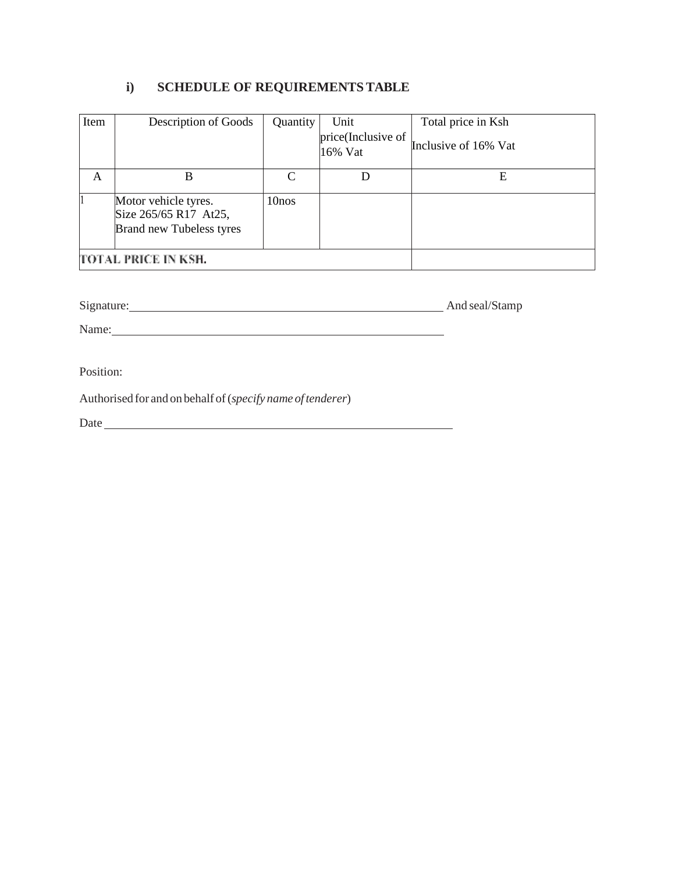# **i) SCHEDULE OF REQUIREMENTSTABLE**

| Item | Description of Goods                                                             | Quantity          | Unit                          | Total price in Ksh   |
|------|----------------------------------------------------------------------------------|-------------------|-------------------------------|----------------------|
|      |                                                                                  |                   | price(Inclusive of<br>16% Vat | Inclusive of 16% Vat |
| A    | B                                                                                |                   |                               | Е                    |
|      | Motor vehicle tyres.<br>Size 265/65 R17 At25,<br><b>Brand new Tubeless tyres</b> | 10 <sub>nos</sub> |                               |                      |
|      | TOTAL PRICE IN KSH.                                                              |                   |                               |                      |

Signature: And seal/Stamp

Name: Name:

Position:

Authorised for and on behalf of(*specify name oftenderer*)

Date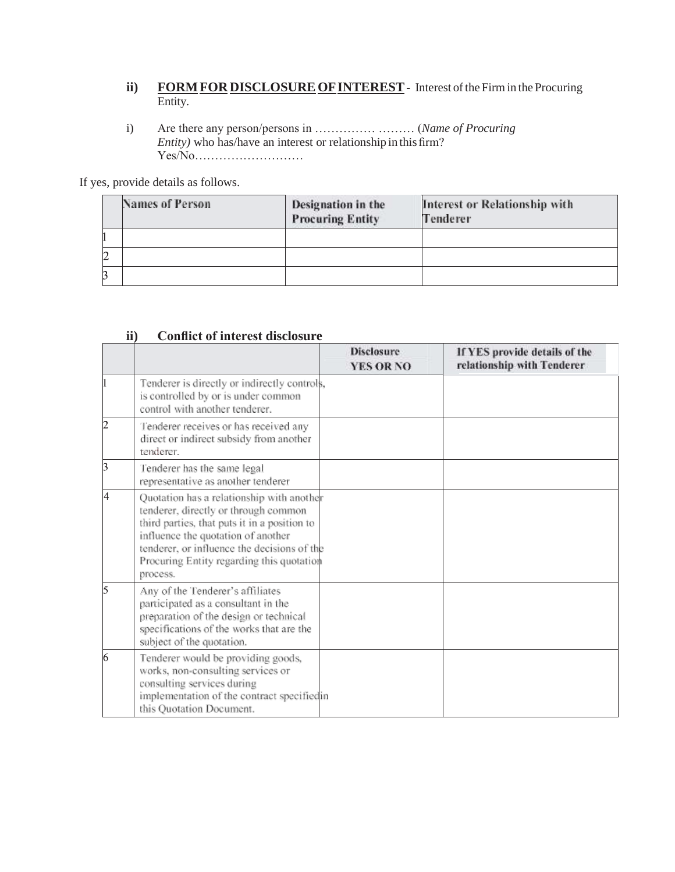- **ii) FORM FOR DISCLOSURE OF INTEREST** Interest of the Firm in the Procuring Entity.
- i) Are there any person/persons in …………… ……… (*Name of Procuring Entity)* who has/have an interest or relationship in this firm? Yes/No………………………

If yes, provide details as follows.

|   | Names of Person | Designation in the<br><b>Procuring Entity</b> | Interest or Relationship with<br>Tenderer |
|---|-----------------|-----------------------------------------------|-------------------------------------------|
|   |                 |                                               |                                           |
| 2 |                 |                                               |                                           |
| B |                 |                                               |                                           |

|    |                                                                                                                                                                                                                                                                                 | <b>Disclosure</b><br><b>YES OR NO</b> | If YES provide details of the<br>relationship with Tenderer |
|----|---------------------------------------------------------------------------------------------------------------------------------------------------------------------------------------------------------------------------------------------------------------------------------|---------------------------------------|-------------------------------------------------------------|
|    | Tenderer is directly or indirectly controls,<br>is controlled by or is under common<br>control with another tenderer.                                                                                                                                                           |                                       |                                                             |
| 2  | Tenderer receives or has received any<br>direct or indirect subsidy from another<br>tenderer.                                                                                                                                                                                   |                                       |                                                             |
| þ  | Tenderer has the same legal<br>representative as another tenderer                                                                                                                                                                                                               |                                       |                                                             |
| l4 | Quotation has a relationship with another<br>tenderer, directly or through common<br>third parties, that puts it in a position to<br>influence the quotation of another<br>tenderer, or influence the decisions of the<br>Procuring Entity regarding this quotation<br>process. |                                       |                                                             |
| 5  | Any of the Tenderer's affiliates<br>participated as a consultant in the<br>preparation of the design or technical<br>specifications of the works that are the<br>subject of the quotation.                                                                                      |                                       |                                                             |
| 6  | Tenderer would be providing goods,<br>works, non-consulting services or<br>consulting services during<br>implementation of the contract specifiedin<br>this Quotation Document.                                                                                                 |                                       |                                                             |

## **ii) Conflict of interest disclosure**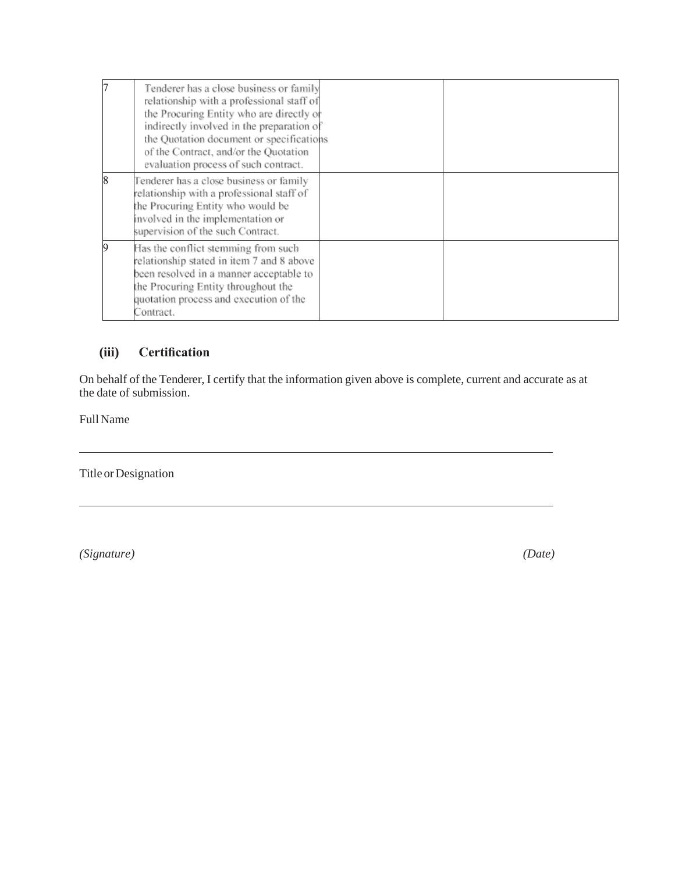| h | Tenderer has a close business or family<br>relationship with a professional staff of<br>the Procuring Entity who are directly or<br>indirectly involved in the preparation of<br>the Quotation document or specifications<br>of the Contract, and/or the Quotation<br>evaluation process of such contract. |  |
|---|------------------------------------------------------------------------------------------------------------------------------------------------------------------------------------------------------------------------------------------------------------------------------------------------------------|--|
| 8 | Tenderer has a close business or family<br>relationship with a professional staff of<br>the Procuring Entity who would be<br>involved in the implementation or<br>supervision of the such Contract.                                                                                                        |  |
| 9 | Has the conflict stemming from such<br>relationship stated in item 7 and 8 above<br>been resolved in a manner acceptable to<br>the Procuring Entity throughout the<br>quotation process and execution of the<br>Contract.                                                                                  |  |

# **(iii) Certification**

On behalf of the Tenderer, I certify that the information given above is complete, current and accurate as at the date of submission.

Full Name

Title or Designation

*(Signature) (Date)*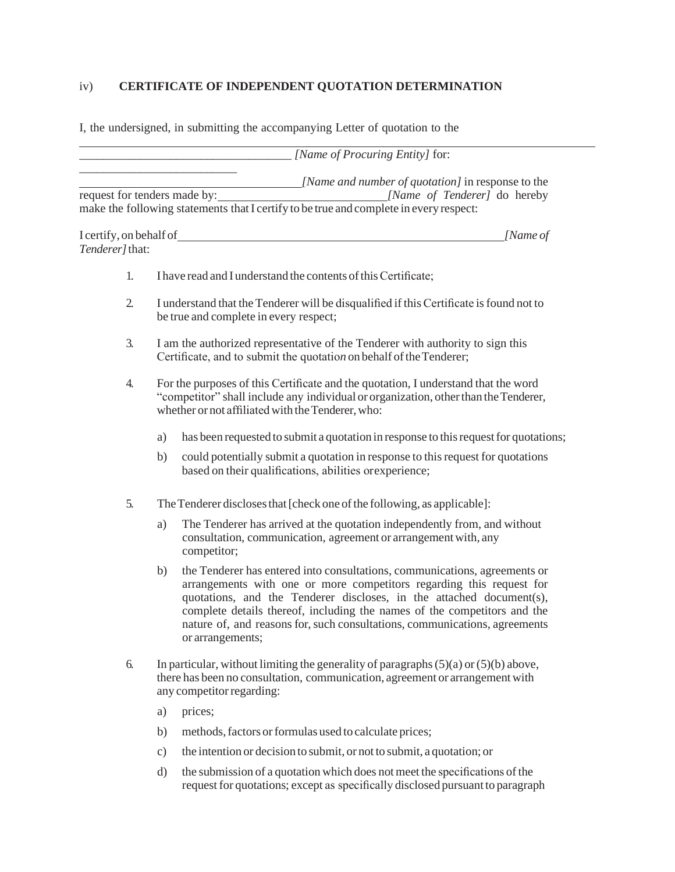# iv) **CERTIFICATE OF INDEPENDENT QUOTATION DETERMINATION**

I, the undersigned, in submitting the accompanying Letter of quotation to the

|                 |           | $[Name of Procurring Entity]$ for:                                                                                                                                                                                                                                                                                                                                                                       |
|-----------------|-----------|----------------------------------------------------------------------------------------------------------------------------------------------------------------------------------------------------------------------------------------------------------------------------------------------------------------------------------------------------------------------------------------------------------|
|                 |           | [Name and number of quotation] in response to the<br>request for tenders made by: <i>[Name of Tenderer]</i> do hereby<br>make the following statements that I certify to be true and complete in every respect:                                                                                                                                                                                          |
|                 |           | [Name of                                                                                                                                                                                                                                                                                                                                                                                                 |
| Tenderer] that: |           |                                                                                                                                                                                                                                                                                                                                                                                                          |
| 1.              |           | I have read and I understand the contents of this Certificate;                                                                                                                                                                                                                                                                                                                                           |
| 2.              |           | I understand that the Tenderer will be disqualified if this Certificate is found not to<br>be true and complete in every respect;                                                                                                                                                                                                                                                                        |
| 3.              |           | I am the authorized representative of the Tenderer with authority to sign this<br>Certificate, and to submit the quotation on behalf of the Tenderer;                                                                                                                                                                                                                                                    |
| 4.              |           | For the purposes of this Certificate and the quotation, I understand that the word<br>"competitor" shall include any individual or organization, other than the Tenderer,<br>whether or not affiliated with the Tenderer, who:                                                                                                                                                                           |
|                 | a)        | has been requested to submit a quotation in response to this request for quotations;                                                                                                                                                                                                                                                                                                                     |
|                 | b)        | could potentially submit a quotation in response to this request for quotations<br>based on their qualifications, abilities or experience;                                                                                                                                                                                                                                                               |
| 5.              |           | The Tenderer discloses that [check one of the following, as applicable]:                                                                                                                                                                                                                                                                                                                                 |
|                 | a)        | The Tenderer has arrived at the quotation independently from, and without<br>consultation, communication, agreement or arrangement with, any<br>competitor;                                                                                                                                                                                                                                              |
|                 | b)        | the Tenderer has entered into consultations, communications, agreements or<br>arrangements with one or more competitors regarding this request for<br>quotations, and the Tenderer discloses, in the attached document(s),<br>complete details thereof, including the names of the competitors and the<br>nature of, and reasons for, such consultations, communications, agreements<br>or arrangements; |
| 6.              |           | In particular, without limiting the generality of paragraphs $(5)(a)$ or $(5)(b)$ above,<br>there has been no consultation, communication, agreement or arrangement with<br>any competitor regarding:                                                                                                                                                                                                    |
|                 | a)        | prices;                                                                                                                                                                                                                                                                                                                                                                                                  |
|                 | b)        | methods, factors or formulas used to calculate prices;                                                                                                                                                                                                                                                                                                                                                   |
|                 | $\circ$ ) | the intention or decision to submit, or not to submit, a quotation; or                                                                                                                                                                                                                                                                                                                                   |

d) the submission of a quotation which does not meet the specifications of the request for quotations; except as specifically disclosed pursuant to paragraph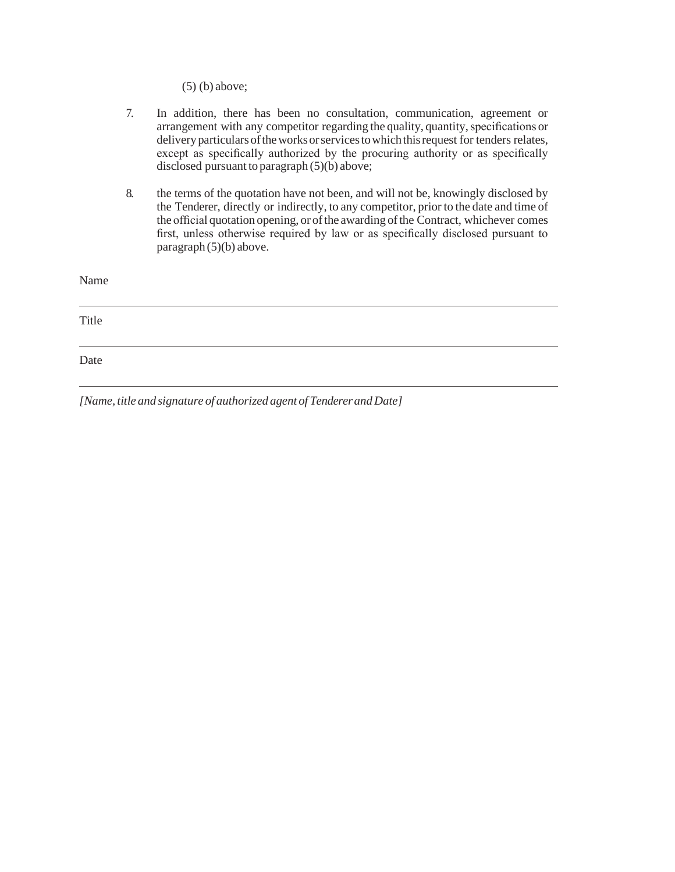(5) (b) above;

|       | 7. | In addition, there has been no consultation, communication, agreement or<br>arrangement with any competitor regarding the quality, quantity, specifications or<br>delivery particulars of the works or services to which this request for tenders relates,<br>except as specifically authorized by the procuring authority or as specifically<br>disclosed pursuant to paragraph $(5)(b)$ above; |
|-------|----|--------------------------------------------------------------------------------------------------------------------------------------------------------------------------------------------------------------------------------------------------------------------------------------------------------------------------------------------------------------------------------------------------|
|       | 8. | the terms of the quotation have not been, and will not be, knowingly disclosed by<br>the Tenderer, directly or indirectly, to any competitor, prior to the date and time of<br>the official quotation opening, or of the awarding of the Contract, whichever comes<br>first, unless otherwise required by law or as specifically disclosed pursuant to<br>paragraph $(5)(b)$ above.              |
| Name  |    |                                                                                                                                                                                                                                                                                                                                                                                                  |
| Title |    |                                                                                                                                                                                                                                                                                                                                                                                                  |
| Date  |    |                                                                                                                                                                                                                                                                                                                                                                                                  |

*[Name, title and signature of authorized agent of TendererandDate]*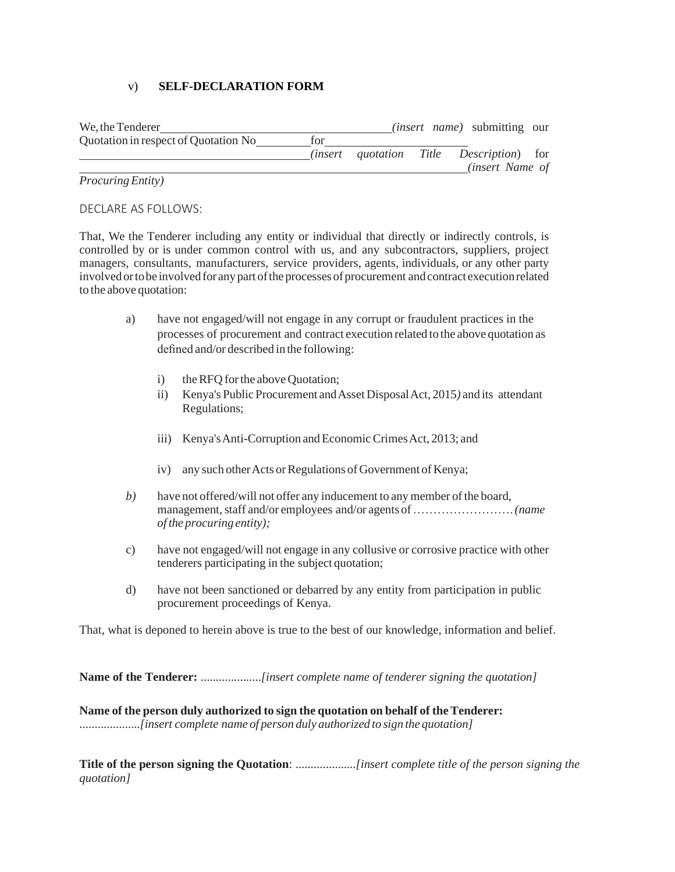## v) **SELF-DECLARATION FORM**

| We, the Tenderer                     |     |  | <i>(insert name)</i> submitting our             |  |
|--------------------------------------|-----|--|-------------------------------------------------|--|
| Quotation in respect of Quotation No | tor |  |                                                 |  |
|                                      |     |  | <i>(insert quotation Title Description)</i> for |  |
|                                      |     |  | <i>(insert Name of</i>                          |  |
| $\overline{\phantom{a}}$<br>$\sim$   |     |  |                                                 |  |

### *ProcuringEntity)*

DECLARE AS FOLLOWS:

That, We the Tenderer including any entity or individual that directly or indirectly controls, is controlled by or is under common control with us, and any subcontractors, suppliers, project managers, consultants, manufacturers, service providers, agents, individuals, or any other party involved or to be involved for any part of the processes of procurement and contract execution related to the above quotation:

- a) have not engaged/will not engage in any corrupt or fraudulent practices in the processes of procurement and contract execution related to the above quotation as defined and/or described in the following:
	- i) the RFQ for the above Quotation;
	- ii) Kenya's Public Procurement andAsset DisposalAct, 2015*)* and its attendant Regulations;
	- iii) Kenya's Anti-Corruption and Economic Crimes Act, 2013; and
	- iv) any such other Acts or Regulations of Government of Kenya;
- *b*) have not offered/will not offer any inducement to any member of the board, management,staff and/or employees and/or agents of…………………….*(name of the procuring entity);*
- c) have not engaged/will not engage in any collusive or corrosive practice with other tenderers participating in the subject quotation;
- d) have not been sanctioned or debarred by any entity from participation in public procurement proceedings of Kenya.

That, what is deponed to herein above is true to the best of our knowledge, information and belief.

**Name of the Tenderer:** ....................*[insert complete name of tenderer signing the quotation]*

**Name of the person duly authorized to sign the quotation on behalf of theTenderer:** ....................*[insert complete name of person duly authorized to sign the quotation]*

**Title of the person signing the Quotation**: ....................*[insert complete title of the person signing the quotation]*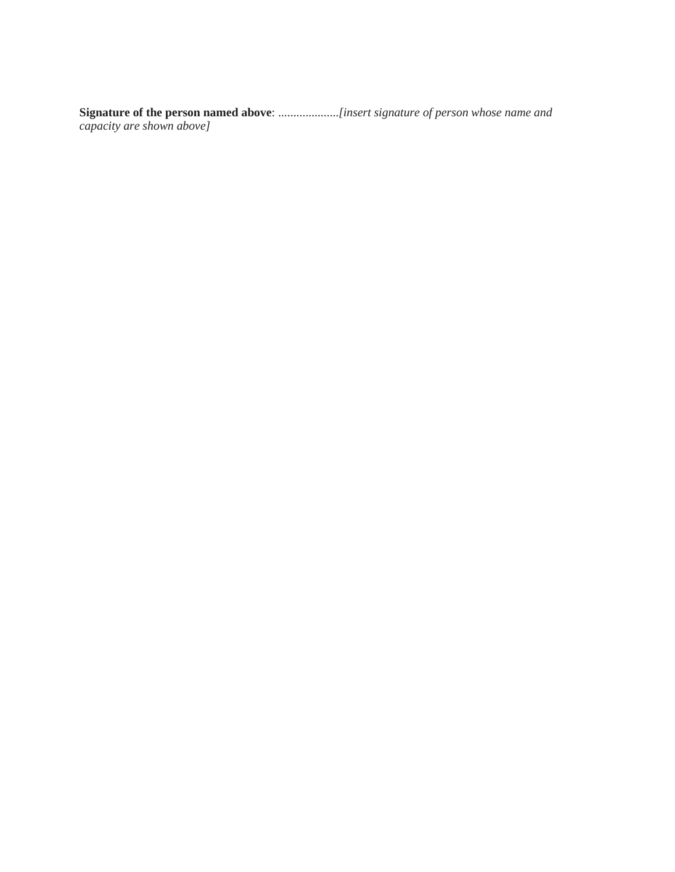**Signature of the person named above**: ....................*[insert signature of person whose name and capacity are shown above]*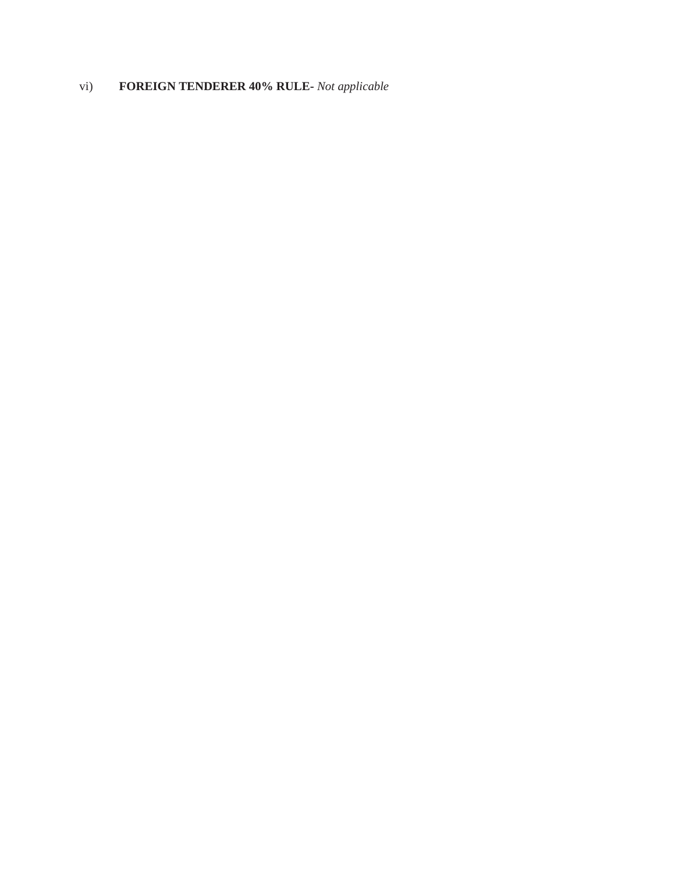# vi) **FOREIGN TENDERER 40% RULE-** *Not applicable*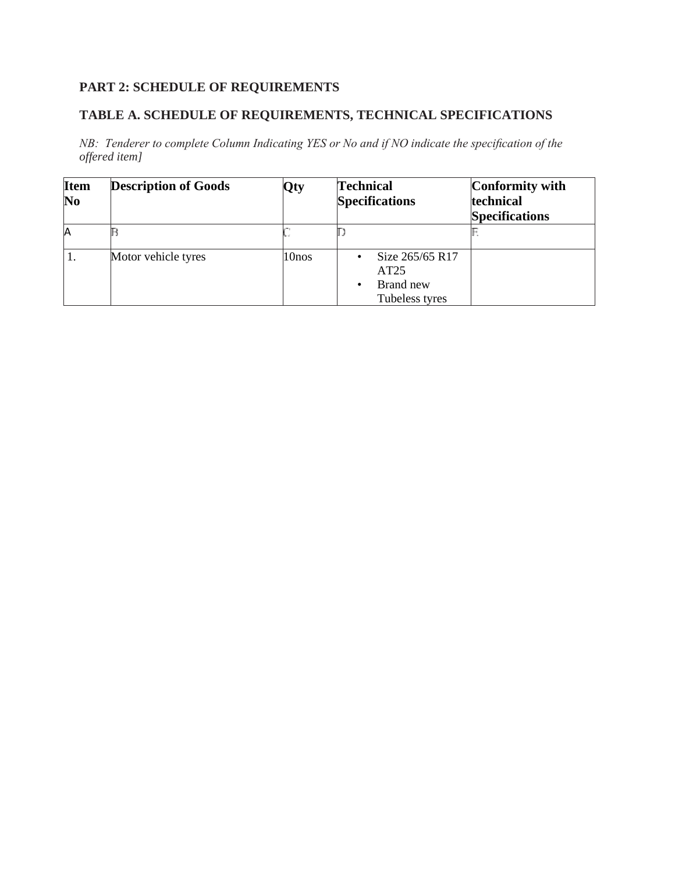# **PART 2: SCHEDULE OF REQUIREMENTS**

## **TABLE A. SCHEDULE OF REQUIREMENTS, TECHNICAL SPECIFICATIONS**

*NB: Tenderer to complete Column Indicating YES or No and if NO indicate the specification of the offered item]*

| <b>Item</b><br>$\bf No$ | <b>Description of Goods</b> | Qty   | <b>Technical</b><br><b>Specifications</b>              | Conformity with<br>technical<br><b>Specifications</b> |
|-------------------------|-----------------------------|-------|--------------------------------------------------------|-------------------------------------------------------|
| IA                      |                             |       |                                                        |                                                       |
|                         | Motor vehicle tyres         | 10nos | Size 265/65 R17<br>AT25<br>Brand new<br>Tubeless tyres |                                                       |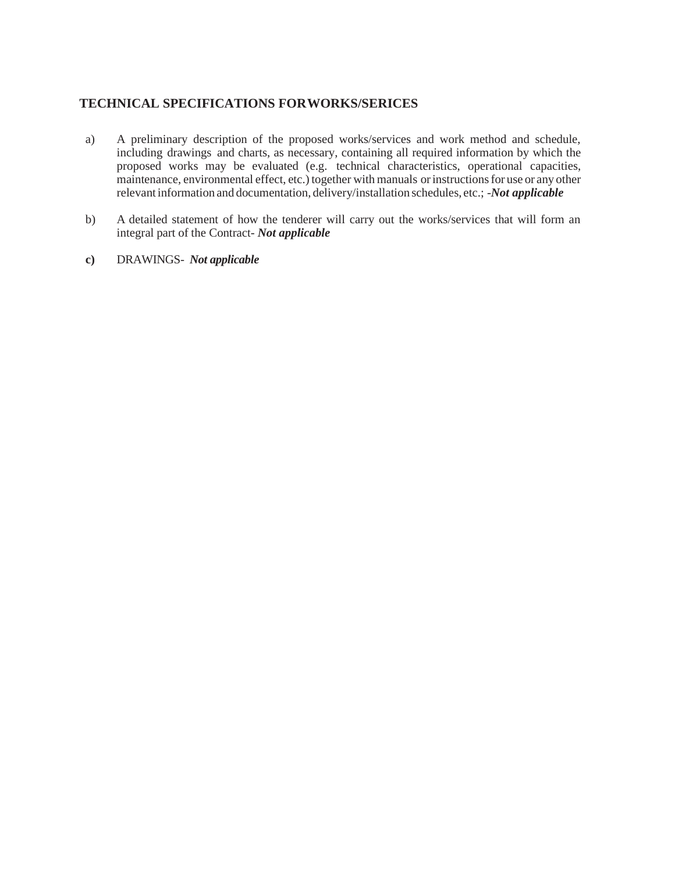## **TECHNICAL SPECIFICATIONS FORWORKS/SERICES**

- a) A preliminary description of the proposed works/services and work method and schedule, including drawings and charts, as necessary, containing all required information by which the proposed works may be evaluated (e.g. technical characteristics, operational capacities, maintenance, environmental effect, etc.) together with manuals or instructions for use or any other relevant information and documentation, delivery/installation schedules, etc.; -*Not applicable*
- b) A detailed statement of how the tenderer will carry out the works/services that will form an integral part of the Contract- *Not applicable*
- **c)** DRAWINGS- *Not applicable*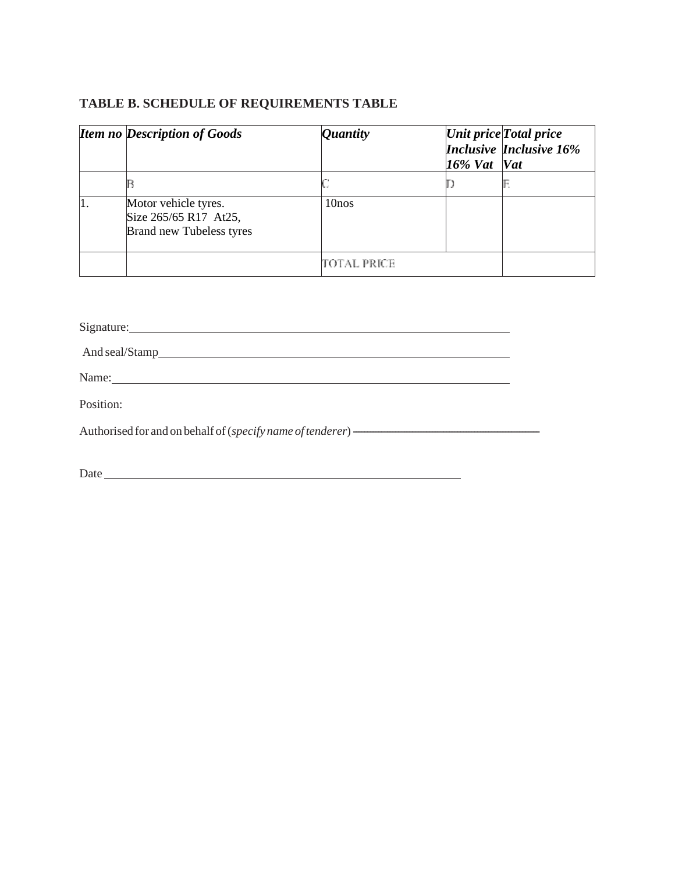## **TABLE B. SCHEDULE OF REQUIREMENTS TABLE**

|    | <b>Item no Description of Goods</b>                                              | <i>Quantity</i>   | $16\%$ Vat Vat | Unit price Total price<br><b>Inclusive Inclusive 16%</b> |
|----|----------------------------------------------------------------------------------|-------------------|----------------|----------------------------------------------------------|
|    |                                                                                  |                   |                |                                                          |
| 11 | Motor vehicle tyres.<br>Size 265/65 R17 At25,<br><b>Brand new Tubeless tyres</b> | 10 <sub>nos</sub> |                |                                                          |
|    |                                                                                  | TOTAL PRICE       |                |                                                          |

Signature: And seal/Stamp Name:

Position:

| Authorised for and on behalf of (specify name of tenderer) - |  |
|--------------------------------------------------------------|--|
|--------------------------------------------------------------|--|

Date has been as a set of the set of the set of the set of the set of the set of the set of the set of the set of the set of the set of the set of the set of the set of the set of the set of the set of the set of the set o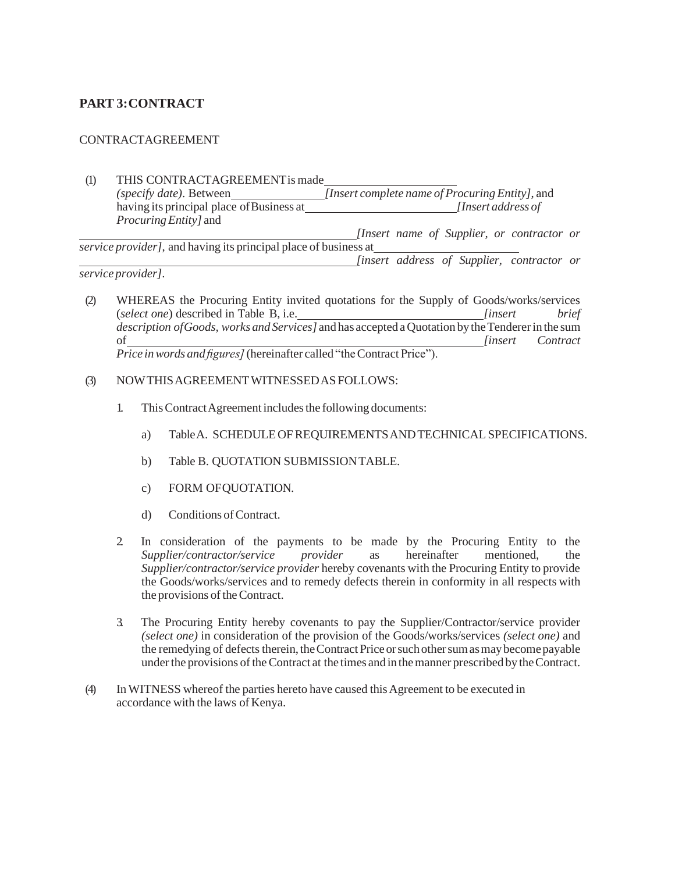# **PART 3:CONTRACT**

### CONTRACTAGREEMENT

(1) THIS CONTRACTAGREEMENTis made *(specify date)*. Between *[Insert complete name of Procuring Entity]*, and having its principal place ofBusiness at *[Insert address of ProcuringEntity]* and *[Insert name of Supplier, or contractor or service provider]*, and having its principal place of business at *[insert address of Supplier, contractor or*

*service provider]*.

- (2) WHEREAS the Procuring Entity invited quotations for the Supply of Goods/works/services (*select one*) described in Table B, i.e. *[insert brief description ofGoods, works and Services]* and has accepted aQuotation by theTendererin the sum of *[insert Contract Price inwords and figures]*(hereinafter called "theContract Price").
- (3) NOWTHISAGREEMENTWITNESSEDAS FOLLOWS:
	- 1. This Contract Agreement includes the following documents:
		- a) TableA. SCHEDULEOFREQUIREMENTSANDTECHNICALSPECIFICATIONS.
		- b) Table B. QUOTATION SUBMISSIONTABLE.
		- c) FORM OFQUOTATION.
		- d) Conditions of Contract.
	- 2. In consideration of the payments to be made by the Procuring Entity to the *Supplier/contractor/service provider* as hereinafter mentioned, the *Supplier/contractor/service provider* hereby covenants with the Procuring Entity to provide the Goods/works/services and to remedy defects therein in conformity in all respects with the provisions of the Contract.
	- 3. The Procuring Entity hereby covenants to pay the Supplier/Contractor/service provider *(select one)* in consideration of the provision of the Goods/works/services *(select one)* and the remedying of defects therein, the Contract Price or such other sum as may become payable underthe provisions oftheContract at the times and in themanner prescribed by theContract.
- (4) In WITNESS whereof the parties hereto have caused thisAgreement to be executed in accordance with the laws of Kenya.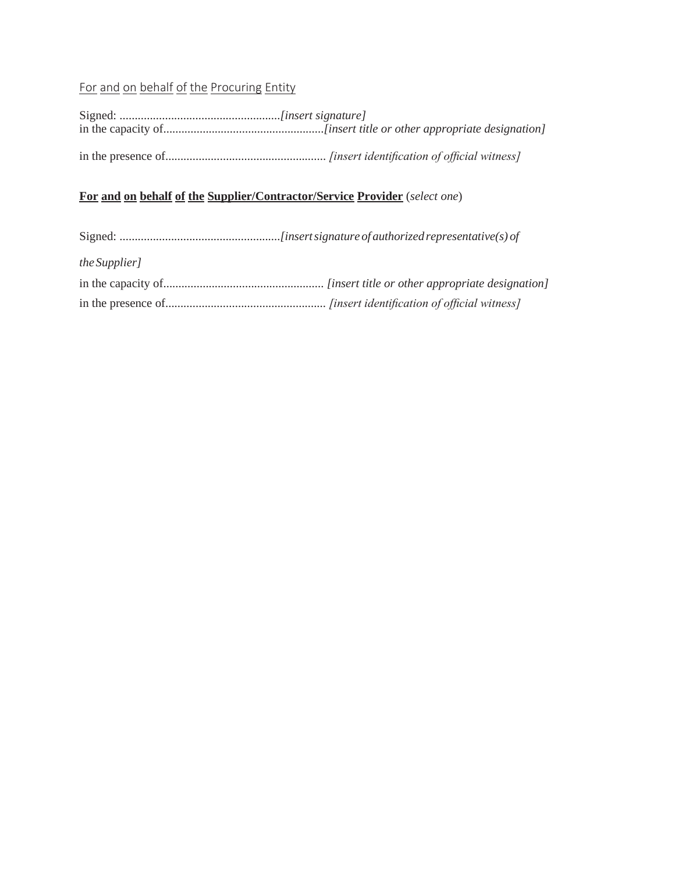# For and on behalf of the Procuring Entity

# **For and on behalf of the Supplier/Contractor/Service Provider** (*select one*)

| <i>the Supplier]</i> |  |
|----------------------|--|
|                      |  |
|                      |  |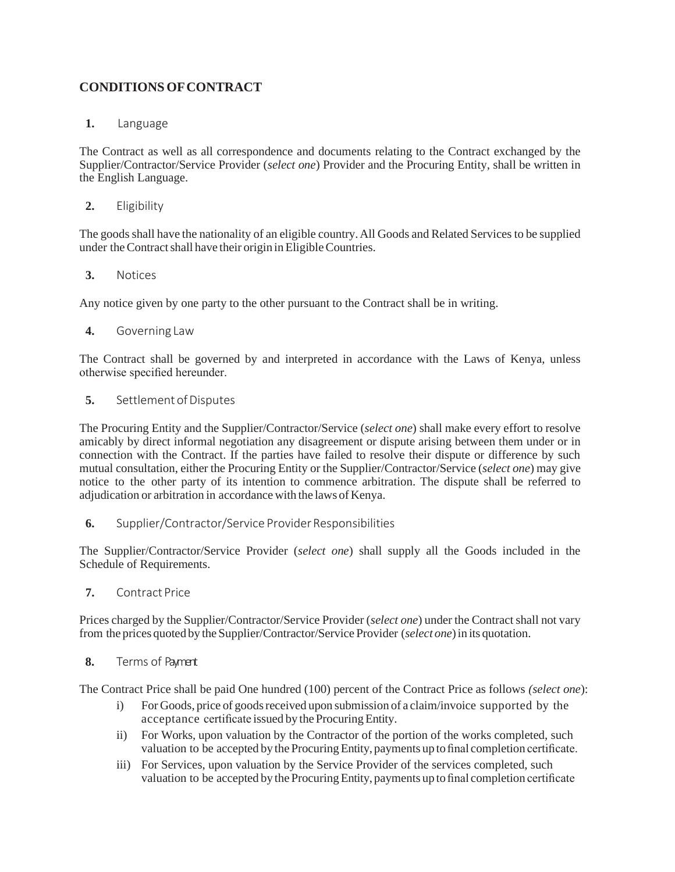# **CONDITIONS OFCONTRACT**

### **1.** Language

The Contract as well as all correspondence and documents relating to the Contract exchanged by the Supplier/Contractor/Service Provider (*select one*) Provider and the Procuring Entity, shall be written in the English Language.

## **2.** Eligibility

The goods shall have the nationality of an eligible country. All Goods and Related Services to be supplied under theContractshall have their origin inEligibleCountries.

### **3.** Notices

Any notice given by one party to the other pursuant to the Contract shall be in writing.

### **4.** Governing Law

The Contract shall be governed by and interpreted in accordance with the Laws of Kenya, unless otherwise specified hereunder.

### **5.** Settlement of Disputes

The Procuring Entity and the Supplier/Contractor/Service (*select one*) shall make every effort to resolve amicably by direct informal negotiation any disagreement or dispute arising between them under or in connection with the Contract. If the parties have failed to resolve their dispute or difference by such mutual consultation, either the Procuring Entity or the Supplier/Contractor/Service (*select one*) may give notice to the other party of its intention to commence arbitration. The dispute shall be referred to adjudication or arbitration in accordance with the laws of Kenya.

**6.** Supplier/Contractor/Service Provider Responsibilities

The Supplier/Contractor/Service Provider (*select one*) shall supply all the Goods included in the Schedule of Requirements.

**7.** Contract Price

Prices charged by the Supplier/Contractor/Service Provider (*select one*) under the Contract shall not vary from the prices quoted by the Supplier/Contractor/Service Provider (*select one*)in its quotation.

### **8.** Terms of Payment

The Contract Price shall be paid One hundred (100) percent of the Contract Price as follows *(select one*):

- i) For Goods, price of goods received upon submission of a claim/invoice supported by the acceptance certificate issued by the Procuring Entity.
- ii) For Works, upon valuation by the Contractor of the portion of the works completed, such valuation to be accepted by the ProcuringEntity, payments up to final completion certificate.
- iii) For Services, upon valuation by the Service Provider of the services completed, such valuation to be accepted by the ProcuringEntity, payments up to final completion certificate